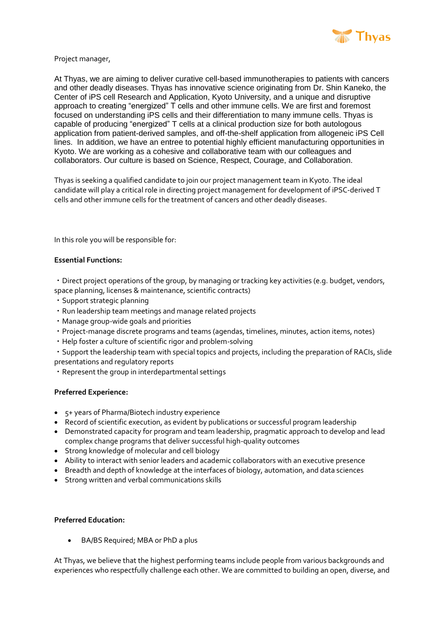

Project manager,

At Thyas, we are aiming to deliver curative cell-based immunotherapies to patients with cancers and other deadly diseases. Thyas has innovative science originating from Dr. Shin Kaneko, the Center of iPS cell Research and Application, Kyoto University, and a unique and disruptive approach to creating "energized" T cells and other immune cells. We are first and foremost focused on understanding iPS cells and their differentiation to many immune cells. Thyas is capable of producing "energized" T cells at a clinical production size for both autologous application from patient-derived samples, and off-the-shelf application from allogeneic iPS Cell lines. In addition, we have an entree to potential highly efficient manufacturing opportunities in Kyoto. We are working as a cohesive and collaborative team with our colleagues and collaborators. Our culture is based on Science, Respect, Courage, and Collaboration.

Thyas is seeking a qualified candidate to join our project management team in Kyoto. The ideal candidate will play a critical role in directing project management for development of iPSC-derived T cells and other immune cells for the treatment of cancers and other deadly diseases.

In this role you will be responsible for:

## **Essential Functions:**

・Direct project operations of the group, by managing or tracking key activities (e.g. budget, vendors, space planning, licenses & maintenance, scientific contracts)

- ・Support strategic planning
- ・Run leadership team meetings and manage related projects
- ・Manage group-wide goals and priorities
- ・Project-manage discrete programs and teams (agendas, timelines, minutes, action items, notes)
- ・Help foster a culture of scientific rigor and problem-solving

・Support the leadership team with special topics and projects, including the preparation of RACIs, slide presentations and regulatory reports

・Represent the group in interdepartmental settings

## **Preferred Experience:**

- 5+ years of Pharma/Biotech industry experience
- Record of scientific execution, as evident by publications or successful program leadership
- Demonstrated capacity for program and team leadership, pragmatic approach to develop and lead complex change programs that deliver successful high-quality outcomes
- Strong knowledge of molecular and cell biology
- Ability to interact with senior leaders and academic collaborators with an executive presence
- Breadth and depth of knowledge at the interfaces of biology, automation, and data sciences
- Strong written and verbal communications skills

## **Preferred Education:**

BA/BS Required; MBA or PhD a plus

At Thyas, we believe that the highest performing teams include people from various backgrounds and experiences who respectfully challenge each other. We are committed to building an open, diverse, and